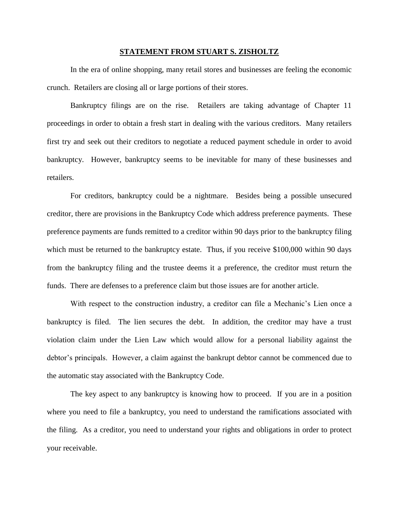## **STATEMENT FROM STUART S. ZISHOLTZ**

In the era of online shopping, many retail stores and businesses are feeling the economic crunch. Retailers are closing all or large portions of their stores.

Bankruptcy filings are on the rise. Retailers are taking advantage of Chapter 11 proceedings in order to obtain a fresh start in dealing with the various creditors. Many retailers first try and seek out their creditors to negotiate a reduced payment schedule in order to avoid bankruptcy. However, bankruptcy seems to be inevitable for many of these businesses and retailers.

For creditors, bankruptcy could be a nightmare. Besides being a possible unsecured creditor, there are provisions in the Bankruptcy Code which address preference payments. These preference payments are funds remitted to a creditor within 90 days prior to the bankruptcy filing which must be returned to the bankruptcy estate. Thus, if you receive \$100,000 within 90 days from the bankruptcy filing and the trustee deems it a preference, the creditor must return the funds. There are defenses to a preference claim but those issues are for another article.

With respect to the construction industry, a creditor can file a Mechanic's Lien once a bankruptcy is filed. The lien secures the debt. In addition, the creditor may have a trust violation claim under the Lien Law which would allow for a personal liability against the debtor's principals. However, a claim against the bankrupt debtor cannot be commenced due to the automatic stay associated with the Bankruptcy Code.

The key aspect to any bankruptcy is knowing how to proceed. If you are in a position where you need to file a bankruptcy, you need to understand the ramifications associated with the filing. As a creditor, you need to understand your rights and obligations in order to protect your receivable.